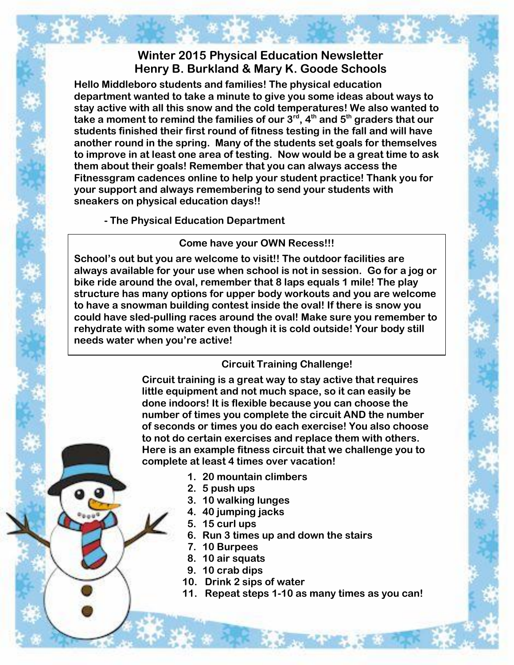# **Winter 2015 Physical Education Newsletter Henry B. Burkland & Mary K. Goode Schools**

**Hello Middleboro students and families! The physical education department wanted to take a minute to give you some ideas about ways to stay active with all this snow and the cold temperatures! We also wanted to take a moment to remind the families of our 3rd, 4th and 5th graders that our students finished their first round of fitness testing in the fall and will have another round in the spring. Many of the students set goals for themselves to improve in at least one area of testing. Now would be a great time to ask them about their goals! Remember that you can always access the Fitnessgram cadences online to help your student practice! Thank you for your support and always remembering to send your students with sneakers on physical education days!!** 

**- The Physical Education Department** 

### **Come have your OWN Recess!!!**

**School's out but you are welcome to visit!! The outdoor facilities are always available for your use when school is not in session. Go for a jog or bike ride around the oval, remember that 8 laps equals 1 mile! The play structure has many options for upper body workouts and you are welcome to have a snowman building contest inside the oval! If there is snow you could have sled-pulling races around the oval! Make sure you remember to rehydrate with some water even though it is cold outside! Your body still needs water when you're active!** 

## **Circuit Training Challenge!**

**Circuit training is a great way to stay active that requires little equipment and not much space, so it can easily be done indoors! It is flexible because you can choose the number of times you complete the circuit AND the number of seconds or times you do each exercise! You also choose to not do certain exercises and replace them with others. Here is an example fitness circuit that we challenge you to complete at least 4 times over vacation!** 

- **1. 20 mountain climbers**
- **2. 5 push ups**
- **3. 10 walking lunges**
- **4. 40 jumping jacks**
- **5. 15 curl ups**
- **6. Run 3 times up and down the stairs**
- **7. 10 Burpees**
- **8. 10 air squats**
- **9. 10 crab dips**
- **10. Drink 2 sips of water**
- **11. Repeat steps 1-10 as many times as you can!**